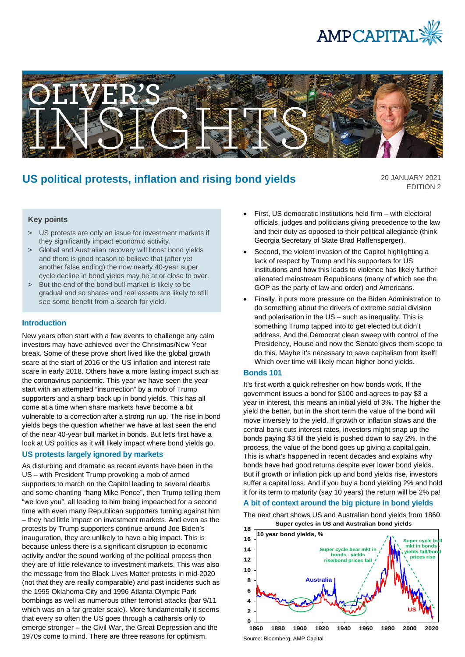



# **US political protests, inflation and rising bond yields**

20 JANUARY 2021 EDITION 2

# **Key points**

- > US protests are only an issue for investment markets if they significantly impact economic activity.
- > Global and Australian recovery will boost bond yields and there is good reason to believe that (after yet another false ending) the now nearly 40-year super cycle decline in bond yields may be at or close to over.
- > But the end of the bond bull market is likely to be gradual and so shares and real assets are likely to still see some benefit from a search for yield.

### **Introduction**

New years often start with a few events to challenge any calm investors may have achieved over the Christmas/New Year break. Some of these prove short lived like the global growth scare at the start of 2016 or the US inflation and interest rate scare in early 2018. Others have a more lasting impact such as the coronavirus pandemic. This year we have seen the year start with an attempted "insurrection" by a mob of Trump supporters and a sharp back up in bond yields. This has all come at a time when share markets have become a bit vulnerable to a correction after a strong run up. The rise in bond yields begs the question whether we have at last seen the end of the near 40-year bull market in bonds. But let's first have a look at US politics as it will likely impact where bond yields go.

## **US protests largely ignored by markets**

As disturbing and dramatic as recent events have been in the US – with President Trump provoking a mob of armed supporters to march on the Capitol leading to several deaths and some chanting "hang Mike Pence", then Trump telling them "we love you", all leading to him being impeached for a second time with even many Republican supporters turning against him – they had little impact on investment markets. And even as the protests by Trump supporters continue around Joe Biden's inauguration, they are unlikely to have a big impact. This is because unless there is a significant disruption to economic activity and/or the sound working of the political process then they are of little relevance to investment markets. This was also the message from the Black Lives Matter protests in mid-2020 (not that they are really comparable) and past incidents such as the 1995 Oklahoma City and 1996 Atlanta Olympic Park bombings as well as numerous other terrorist attacks (bar 9/11 which was on a far greater scale). More fundamentally it seems that every so often the US goes through a catharsis only to emerge stronger – the Civil War, the Great Depression and the 1970s come to mind. There are three reasons for optimism.

- First, US democratic institutions held firm with electoral officials, judges and politicians giving precedence to the law and their duty as opposed to their political allegiance (think Georgia Secretary of State Brad Raffensperger).
- Second, the violent invasion of the Capitol highlighting a lack of respect by Trump and his supporters for US institutions and how this leads to violence has likely further alienated mainstream Republicans (many of which see the GOP as the party of law and order) and Americans.
- Finally, it puts more pressure on the Biden Administration to do something about the drivers of extreme social division and polarisation in the US – such as inequality. This is something Trump tapped into to get elected but didn't address. And the Democrat clean sweep with control of the Presidency, House and now the Senate gives them scope to do this. Maybe it's necessary to save capitalism from itself! Which over time will likely mean higher bond yields.

#### **Bonds 101**

It's first worth a quick refresher on how bonds work. If the government issues a bond for \$100 and agrees to pay \$3 a year in interest, this means an initial yield of 3%. The higher the yield the better, but in the short term the value of the bond will move inversely to the yield. If growth or inflation slows and the central bank cuts interest rates, investors might snap up the bonds paying \$3 till the yield is pushed down to say 2%. In the process, the value of the bond goes up giving a capital gain. This is what's happened in recent decades and explains why bonds have had good returns despite ever lower bond yields. But if growth or inflation pick up and bond yields rise, investors suffer a capital loss. And if you buy a bond yielding 2% and hold it for its term to maturity (say 10 years) the return will be 2% pa!

# **A bit of context around the big picture in bond yields**

The next chart shows US and Australian bond yields from 1860. **Super cycles in US and Australian bond yields**



Source: Bloomberg, AMP Capital